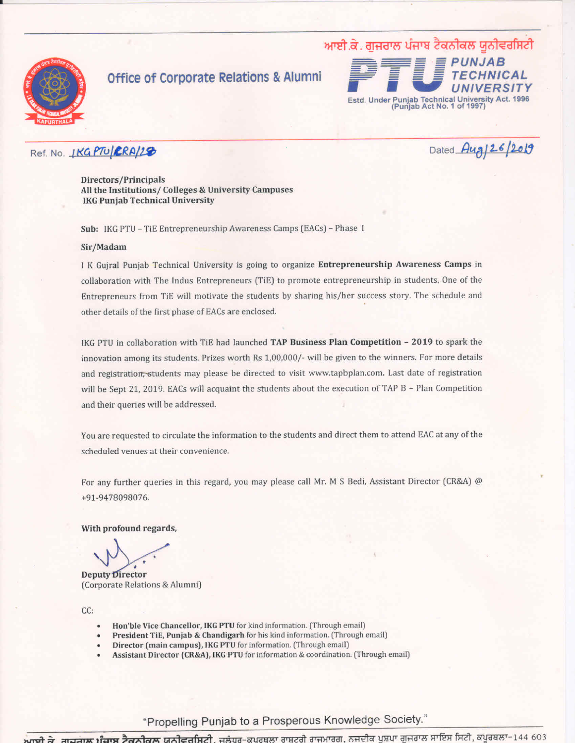

## **Office of Corporate Relations & Alumni**



#### Ref. No. **IKG PTU RRA/28**

Dated Aug 26/2019

Directors/Principals All the Institutions/ Colleges & University Campuses **IKG Punjab Technical University** 

Sub: IKG PTU - TiE Entrepreneurship Awareness Camps (EACs) - Phase I

#### Sir/Madam

I K Guiral Punjab Technical University is going to organize Entrepreneurship Awareness Camps in collaboration with The Indus Entrepreneurs (TiE) to promote entrepreneurship in students. One of the Entrepreneurs from TiE will motivate the students by sharing his/her success story. The schedule and other details of the first phase of EACs are enclosed.

IKG PTU in collaboration with TiE had launched TAP Business Plan Competition - 2019 to spark the innovation among its students. Prizes worth Rs 1,00,000/- will be given to the winners. For more details and registration, students may please be directed to visit www.tapbplan.com. Last date of registration will be Sept 21, 2019. EACs will acquaint the students about the execution of TAP B - Plan Competition and their queries will be addressed.

You are requested to circulate the information to the students and direct them to attend EAC at any of the scheduled venues at their convenience.

For any further queries in this regard, you may please call Mr. M S Bedi, Assistant Director (CR&A) @ +91-9478098076.

With profound regards,

**Deputy Director** (Corporate Relations & Alumni)

CC:

- Hon'ble Vice Chancellor, IKG PTU for kind information. (Through email)
- President TiE, Punjab & Chandigarh for his kind information. (Through email)
- Director (main campus), IKG PTU for information. (Through email)
- Assistant Director (CR&A), IKG PTU for information & coordination. (Through email)

"Propelling Punjab to a Prosperous Knowledge Society."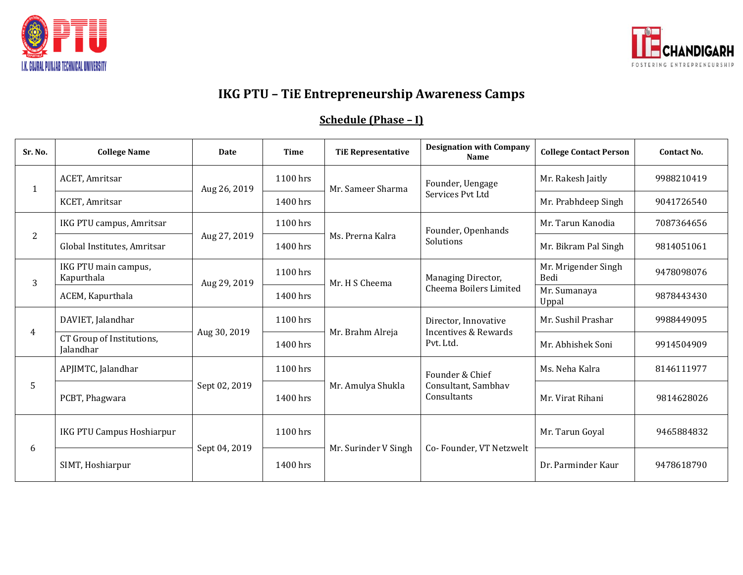



# **IKG PTU – TiE Entrepreneurship Awareness Camps**

# **Schedule (Phase – I)**

| Sr. No.        | <b>College Name</b>                    | <b>Date</b>   | <b>Time</b> | <b>TiE Representative</b> | <b>Designation with Company</b><br><b>Name</b>                       | <b>College Contact Person</b> | <b>Contact No.</b> |
|----------------|----------------------------------------|---------------|-------------|---------------------------|----------------------------------------------------------------------|-------------------------------|--------------------|
| 1              | ACET, Amritsar                         | Aug 26, 2019  | 1100 hrs    | Mr. Sameer Sharma         | Founder, Uengage<br>Services Pvt Ltd                                 | Mr. Rakesh Jaitly             | 9988210419         |
|                | KCET, Amritsar                         |               | $1400$ hrs  |                           |                                                                      | Mr. Prabhdeep Singh           | 9041726540         |
| $\overline{c}$ | IKG PTU campus, Amritsar               | Aug 27, 2019  | 1100 hrs    | Ms. Prerna Kalra          | Founder, Openhands<br>Solutions                                      | Mr. Tarun Kanodia             | 7087364656         |
|                | Global Institutes, Amritsar            |               | 1400 hrs    |                           |                                                                      | Mr. Bikram Pal Singh          | 9814051061         |
| 3              | IKG PTU main campus,<br>Kapurthala     | Aug 29, 2019  | 1100 hrs    | Mr. H S Cheema            | Managing Director,<br>Cheema Boilers Limited                         | Mr. Mrigender Singh<br>Bedi   | 9478098076         |
|                | ACEM, Kapurthala                       |               | 1400 hrs    |                           |                                                                      | Mr. Sumanaya<br>Uppal         | 9878443430         |
| 4              | DAVIET, Jalandhar                      | Aug 30, 2019  | 1100 hrs    | Mr. Brahm Alreja          | Director, Innovative<br><b>Incentives &amp; Rewards</b><br>Pvt. Ltd. | Mr. Sushil Prashar            | 9988449095         |
|                | CT Group of Institutions,<br>Jalandhar |               | 1400 hrs    |                           |                                                                      | Mr. Abhishek Soni             | 9914504909         |
| 5              | APJIMTC, Jalandhar                     | Sept 02, 2019 | 1100 hrs    | Mr. Amulya Shukla         | Founder & Chief<br>Consultant, Sambhav<br>Consultants                | Ms. Neha Kalra                | 8146111977         |
|                | PCBT, Phagwara                         |               | $1400$ hrs  |                           |                                                                      | Mr. Virat Rihani              | 9814628026         |
| 6              | IKG PTU Campus Hoshiarpur              | Sept 04, 2019 | 1100 hrs    | Mr. Surinder V Singh      | Co-Founder, VT Netzwelt                                              | Mr. Tarun Goyal               | 9465884832         |
|                | SIMT, Hoshiarpur                       |               | 1400 hrs    |                           |                                                                      | Dr. Parminder Kaur            | 9478618790         |